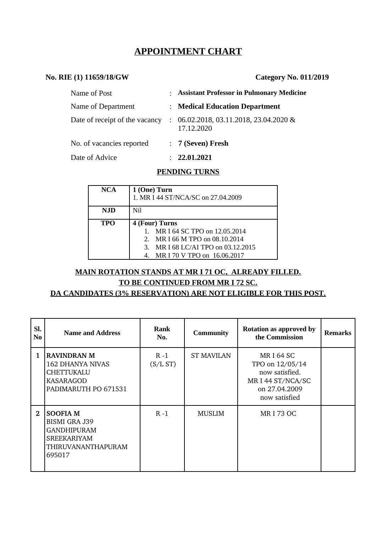# **APPOINTMENT CHART**

#### **No. RIE (1) 11659/18/GW Category No. 011/2019**

| Name of Post                   | : Assistant Professor in Pulmonary Medicine                     |
|--------------------------------|-----------------------------------------------------------------|
| Name of Department             | : Medical Education Department                                  |
| Date of receipt of the vacancy | $\therefore$ 06.02.2018, 03.11.2018, 23.04.2020 &<br>17.12.2020 |
| No. of vacancies reported      | : 7 (Seven) Fresh                                               |
| Date of Advice                 | 22.01.2021                                                      |

#### **PENDING TURNS**

| <b>NCA</b> | 1 (One) Turn<br>1. MR I 44 ST/NCA/SC on 27.04.2009 |  |  |
|------------|----------------------------------------------------|--|--|
| NJD        | Nil                                                |  |  |
| <b>TPO</b> | 4 (Four) Turns                                     |  |  |
|            | MR I 64 SC TPO on 12.05.2014                       |  |  |
|            | MR I 66 M TPO on 08.10.2014<br>2 <sub>1</sub>      |  |  |
|            | 3.<br>MR I 68 LC/AI TPO on 03.12.2015              |  |  |
|            | MR I 70 V TPO on 16.06.2017                        |  |  |

# **MAIN ROTATION STANDS AT MR I 71 OC, ALREADY FILLED.**

# **TO BE CONTINUED FROM MR I 72 SC.**

#### **DA CANDIDATES (3% RESERVATION) ARE NOT ELIGIBLE FOR THIS POST.**

| SI.<br>N <sub>0</sub> | <b>Name and Address</b>                                                                                             | <b>Rank</b><br>No.  | <b>Community</b>  | <b>Rotation as approved by</b><br>the Commission                                                            | <b>Remarks</b> |
|-----------------------|---------------------------------------------------------------------------------------------------------------------|---------------------|-------------------|-------------------------------------------------------------------------------------------------------------|----------------|
| $\mathbf{1}$          | <b>RAVINDRAN M</b><br>162 DHANYA NIVAS<br><b>CHETTUKALU</b><br>KASARAGOD<br>PADIMARUTH PO 671531                    | $R - 1$<br>(S/L ST) | <b>ST MAVILAN</b> | <b>MRI64 SC</b><br>TPO on 12/05/14<br>now satisfied.<br>MR I 44 ST/NCA/SC<br>on 27.04.2009<br>now satisfied |                |
| $\mathbf{2}$          | <b>SOOFIA M</b><br><b>BISMI GRA J39</b><br><b>GANDHIPURAM</b><br><b>SREEKARIYAM</b><br>THIRUVANANTHAPURAM<br>695017 | $R - 1$             | <b>MUSLIM</b>     | <b>MRI73 OC</b>                                                                                             |                |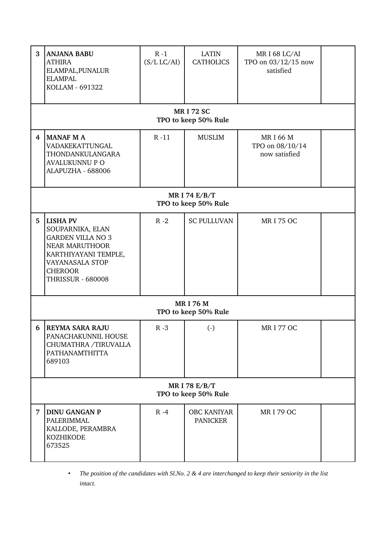| 3 | <b>ANJANA BABU</b><br><b>ATHIRA</b><br>ELAMPAL, PUNALUR<br><b>ELAMPAL</b><br>KOLLAM - 691322                                                                               | $R - 1$<br>(S/L LC/AI) | <b>LATIN</b><br><b>CATHOLICS</b>      | MR I 68 LC/AI<br>TPO on 03/12/15 now<br>satisfied |  |  |  |  |
|---|----------------------------------------------------------------------------------------------------------------------------------------------------------------------------|------------------------|---------------------------------------|---------------------------------------------------|--|--|--|--|
|   | <b>MRI 72 SC</b><br>TPO to keep 50% Rule                                                                                                                                   |                        |                                       |                                                   |  |  |  |  |
| 4 | <b>MANAF M A</b><br>VADAKEKATTUNGAL<br>THONDANKULANGARA<br><b>AVALUKUNNU P O</b><br>ALAPUZHA - 688006                                                                      | $R - 11$               | <b>MUSLIM</b>                         | <b>MRI66M</b><br>TPO on 08/10/14<br>now satisfied |  |  |  |  |
|   | MR I 74 E/B/T<br>TPO to keep 50% Rule                                                                                                                                      |                        |                                       |                                                   |  |  |  |  |
| 5 | <b>LISHA PV</b><br>SOUPARNIKA, ELAN<br><b>GARDEN VILLA NO 3</b><br>NEAR MARUTHOOR<br>KARTHIYAYANI TEMPLE,<br>VAYANASALA STOP<br><b>CHEROOR</b><br><b>THRISSUR - 680008</b> | $R - 2$                | <b>SC PULLUVAN</b>                    | <b>MRI 75 OC</b>                                  |  |  |  |  |
|   | <b>MRI 76 M</b><br>TPO to keep 50% Rule                                                                                                                                    |                        |                                       |                                                   |  |  |  |  |
| 6 | REYMA SARA RAJU<br>PANACHAKUNNIL HOUSE<br>CHUMATHRA /TIRUVALLA<br>PATHANAMTHITTA<br>689103                                                                                 | $R - 3$                | $\left( \cdot \right)$                | <b>MRI 77 OC</b>                                  |  |  |  |  |
|   | <b>MRI 78 E/B/T</b><br>TPO to keep 50% Rule                                                                                                                                |                        |                                       |                                                   |  |  |  |  |
| 7 | <b>DINU GANGAN P</b><br>PALERIMMAL<br>KALLODE, PERAMBRA<br><b>KOZHIKODE</b><br>673525                                                                                      | $R - 4$                | <b>OBC KANIYAR</b><br><b>PANICKER</b> | <b>MRI 79 OC</b>                                  |  |  |  |  |

<sup>•</sup> *The position of the candidates with Sl.No. 2 & 4 are interchanged to keep their seniority in the list intact.*